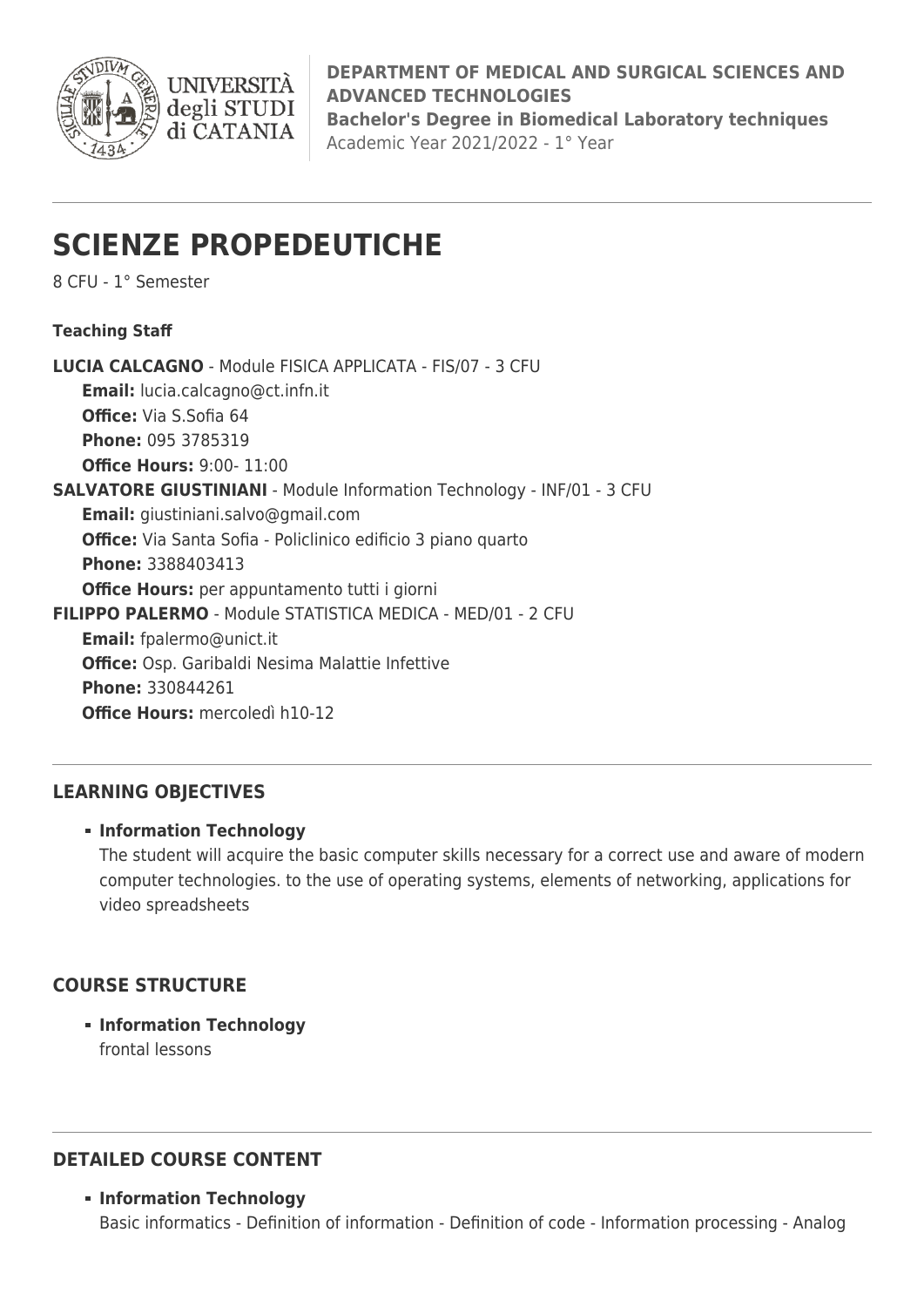

**DEPARTMENT OF MEDICAL AND SURGICAL SCIENCES AND ADVANCED TECHNOLOGIES Bachelor's Degree in Biomedical Laboratory techniques** Academic Year 2021/2022 - 1° Year

# **SCIENZE PROPEDEUTICHE**

**UNIVERSITÀ** degli STUDI di CATANIA

8 CFU - 1° Semester

**Teaching Staff**

**LUCIA CALCAGNO** - Module FISICA APPLICATA - FIS/07 - 3 CFU **Email:** [lucia.calcagno@ct.infn.it](mailto:lucia.calcagno@ct.infn.it) **Office:** Via S.Sofia 64 **Phone:** 095 3785319 **Office Hours:** 9:00- 11:00 **SALVATORE GIUSTINIANI** - Module Information Technology - INF/01 - 3 CFU **Email:** [giustiniani.salvo@gmail.com](mailto:giustiniani.salvo@gmail.com) **Office:** Via Santa Sofia - Policlinico edificio 3 piano quarto **Phone:** 3388403413 **Office Hours:** per appuntamento tutti i giorni **FILIPPO PALERMO** - Module STATISTICA MEDICA - MED/01 - 2 CFU **Email:** [fpalermo@unict.it](mailto:fpalermo@unict.it) **Office:** Osp. Garibaldi Nesima Malattie Infettive **Phone:** 330844261 **Office Hours:** mercoledì h10-12

# **LEARNING OBJECTIVES**

#### **Information Technology**

The student will acquire the basic computer skills necessary for a correct use and aware of modern computer technologies. to the use of operating systems, elements of networking, applications for video spreadsheets

# **COURSE STRUCTURE**

**Information Technology** frontal lessons

# **DETAILED COURSE CONTENT**

#### **Information Technology**

Basic informatics - Definition of information - Definition of code - Information processing - Analog